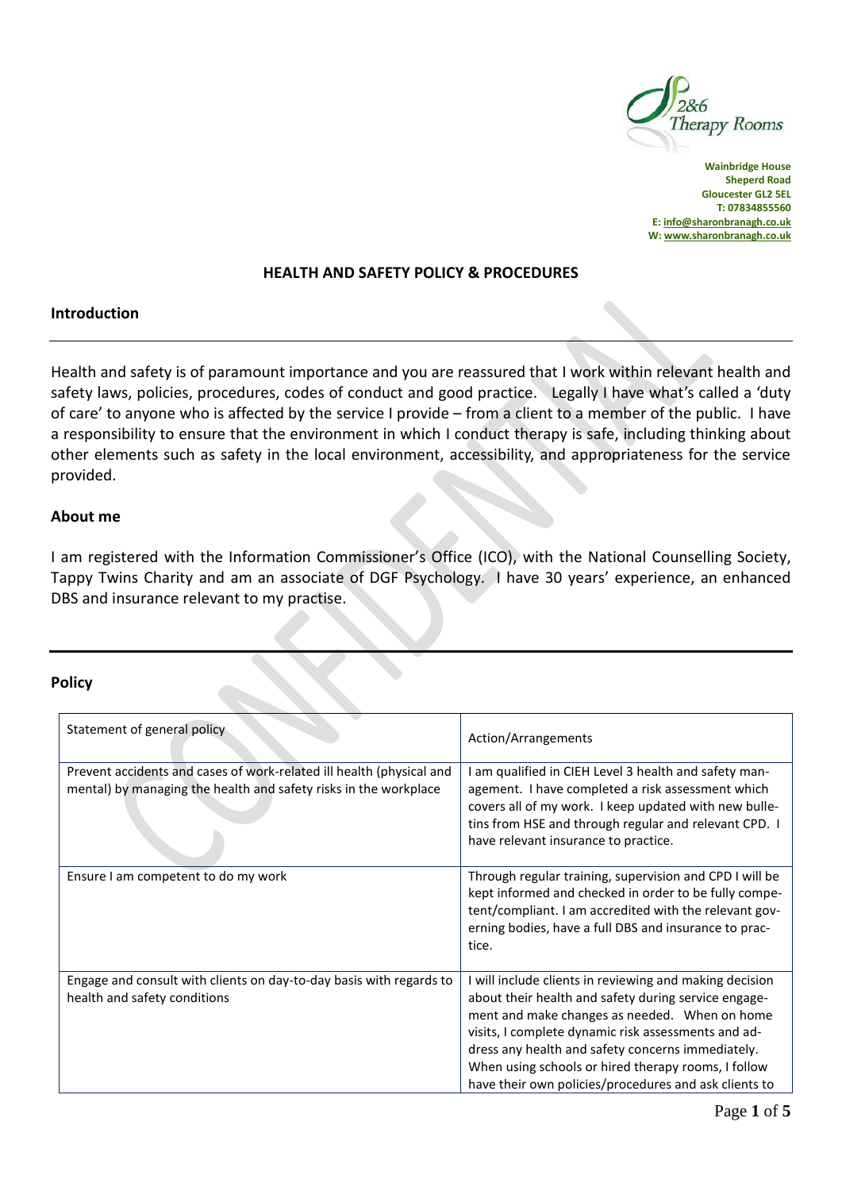

**Wainbridge House Sheperd Road Gloucester GL2 5EL T: 07834855560 E[: info@sharonbranagh.co.uk](mailto:info@sharonbranagh.co.uk) W[: www.sharonbranagh.co.uk](http://www.sharonbranagh.co.uk/)**

#### **HEALTH AND SAFETY POLICY & PROCEDURES**

### **Introduction**

Health and safety is of paramount importance and you are reassured that I work within relevant health and safety laws, policies, procedures, codes of conduct and good practice. Legally I have what's called a 'duty of care' to anyone who is affected by the service I provide – from a client to a member of the public. I have a responsibility to ensure that the environment in which I conduct therapy is safe, including thinking about other elements such as safety in the local environment, accessibility, and appropriateness for the service provided.

### **About me**

I am registered with the Information Commissioner's Office (ICO), with the National Counselling Society, Tappy Twins Charity and am an associate of DGF Psychology. I have 30 years' experience, an enhanced DBS and insurance relevant to my practise.

#### **Policy**

| Statement of general policy                                                                                                              | Action/Arrangements                                                                                                                                                                                                                                                                                                                                                                          |
|------------------------------------------------------------------------------------------------------------------------------------------|----------------------------------------------------------------------------------------------------------------------------------------------------------------------------------------------------------------------------------------------------------------------------------------------------------------------------------------------------------------------------------------------|
| Prevent accidents and cases of work-related ill health (physical and<br>mental) by managing the health and safety risks in the workplace | I am qualified in CIEH Level 3 health and safety man-<br>agement. I have completed a risk assessment which<br>covers all of my work. I keep updated with new bulle-<br>tins from HSE and through regular and relevant CPD. I<br>have relevant insurance to practice.                                                                                                                         |
| Ensure I am competent to do my work                                                                                                      | Through regular training, supervision and CPD I will be<br>kept informed and checked in order to be fully compe-<br>tent/compliant. I am accredited with the relevant gov-<br>erning bodies, have a full DBS and insurance to prac-<br>tice.                                                                                                                                                 |
| Engage and consult with clients on day-to-day basis with regards to<br>health and safety conditions                                      | I will include clients in reviewing and making decision<br>about their health and safety during service engage-<br>ment and make changes as needed. When on home<br>visits, I complete dynamic risk assessments and ad-<br>dress any health and safety concerns immediately.<br>When using schools or hired therapy rooms, I follow<br>have their own policies/procedures and ask clients to |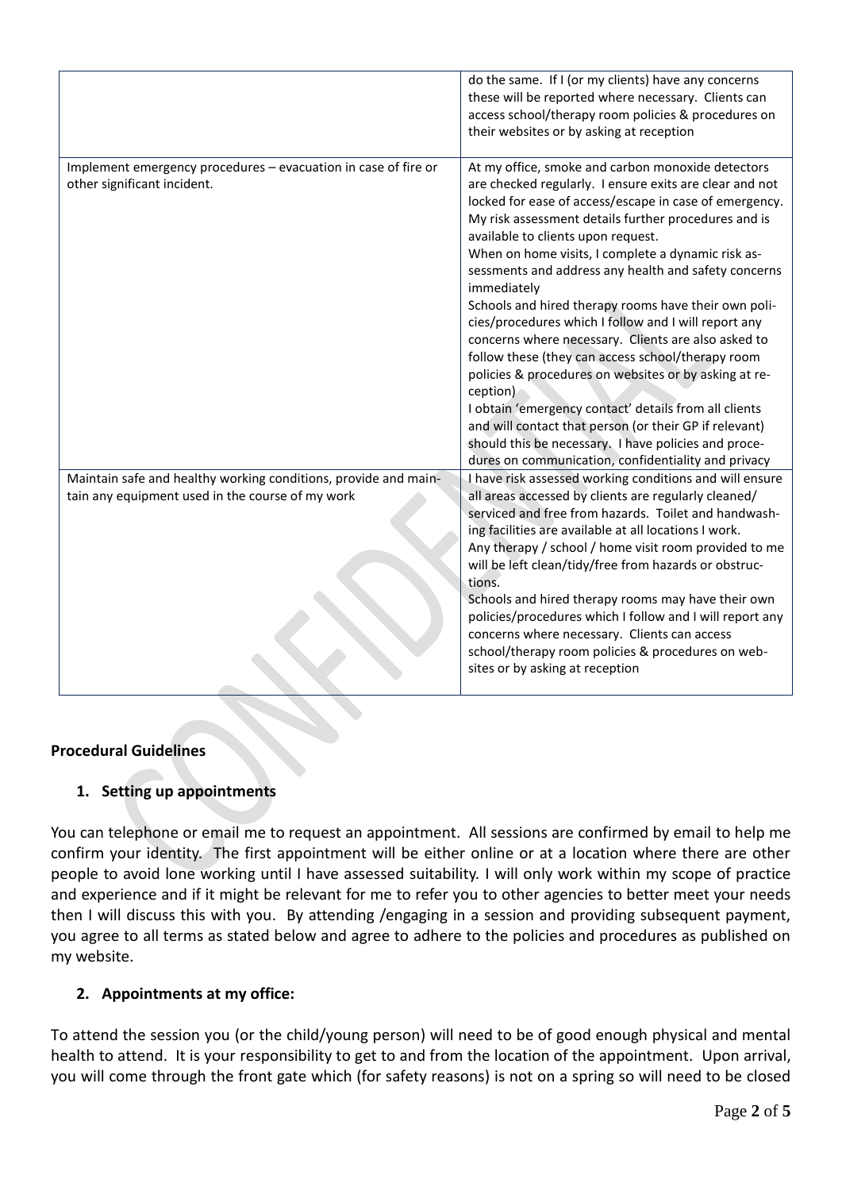|                                                                                                                     | do the same. If I (or my clients) have any concerns<br>these will be reported where necessary. Clients can<br>access school/therapy room policies & procedures on<br>their websites or by asking at reception                                                                                                                                                                                                                                                                                                                                                                                                                                                                                                                                                                                                                                                                                                                        |
|---------------------------------------------------------------------------------------------------------------------|--------------------------------------------------------------------------------------------------------------------------------------------------------------------------------------------------------------------------------------------------------------------------------------------------------------------------------------------------------------------------------------------------------------------------------------------------------------------------------------------------------------------------------------------------------------------------------------------------------------------------------------------------------------------------------------------------------------------------------------------------------------------------------------------------------------------------------------------------------------------------------------------------------------------------------------|
| Implement emergency procedures - evacuation in case of fire or<br>other significant incident.                       | At my office, smoke and carbon monoxide detectors<br>are checked regularly. I ensure exits are clear and not<br>locked for ease of access/escape in case of emergency.<br>My risk assessment details further procedures and is<br>available to clients upon request.<br>When on home visits, I complete a dynamic risk as-<br>sessments and address any health and safety concerns<br>immediately<br>Schools and hired therapy rooms have their own poli-<br>cies/procedures which I follow and I will report any<br>concerns where necessary. Clients are also asked to<br>follow these (they can access school/therapy room<br>policies & procedures on websites or by asking at re-<br>ception)<br>I obtain 'emergency contact' details from all clients<br>and will contact that person (or their GP if relevant)<br>should this be necessary. I have policies and proce-<br>dures on communication, confidentiality and privacy |
| Maintain safe and healthy working conditions, provide and main-<br>tain any equipment used in the course of my work | I have risk assessed working conditions and will ensure<br>all areas accessed by clients are regularly cleaned/<br>serviced and free from hazards. Toilet and handwash-<br>ing facilities are available at all locations I work.<br>Any therapy / school / home visit room provided to me<br>will be left clean/tidy/free from hazards or obstruc-<br>tions.<br>Schools and hired therapy rooms may have their own<br>policies/procedures which I follow and I will report any<br>concerns where necessary. Clients can access<br>school/therapy room policies & procedures on web-<br>sites or by asking at reception                                                                                                                                                                                                                                                                                                               |

# **Procedural Guidelines**

# **1. Setting up appointments**

You can telephone or email me to request an appointment. All sessions are confirmed by email to help me confirm your identity. The first appointment will be either online or at a location where there are other people to avoid lone working until I have assessed suitability. I will only work within my scope of practice and experience and if it might be relevant for me to refer you to other agencies to better meet your needs then I will discuss this with you. By attending /engaging in a session and providing subsequent payment, you agree to all terms as stated below and agree to adhere to the policies and procedures as published on my website.

# **2. Appointments at my office:**

To attend the session you (or the child/young person) will need to be of good enough physical and mental health to attend. It is your responsibility to get to and from the location of the appointment. Upon arrival, you will come through the front gate which (for safety reasons) is not on a spring so will need to be closed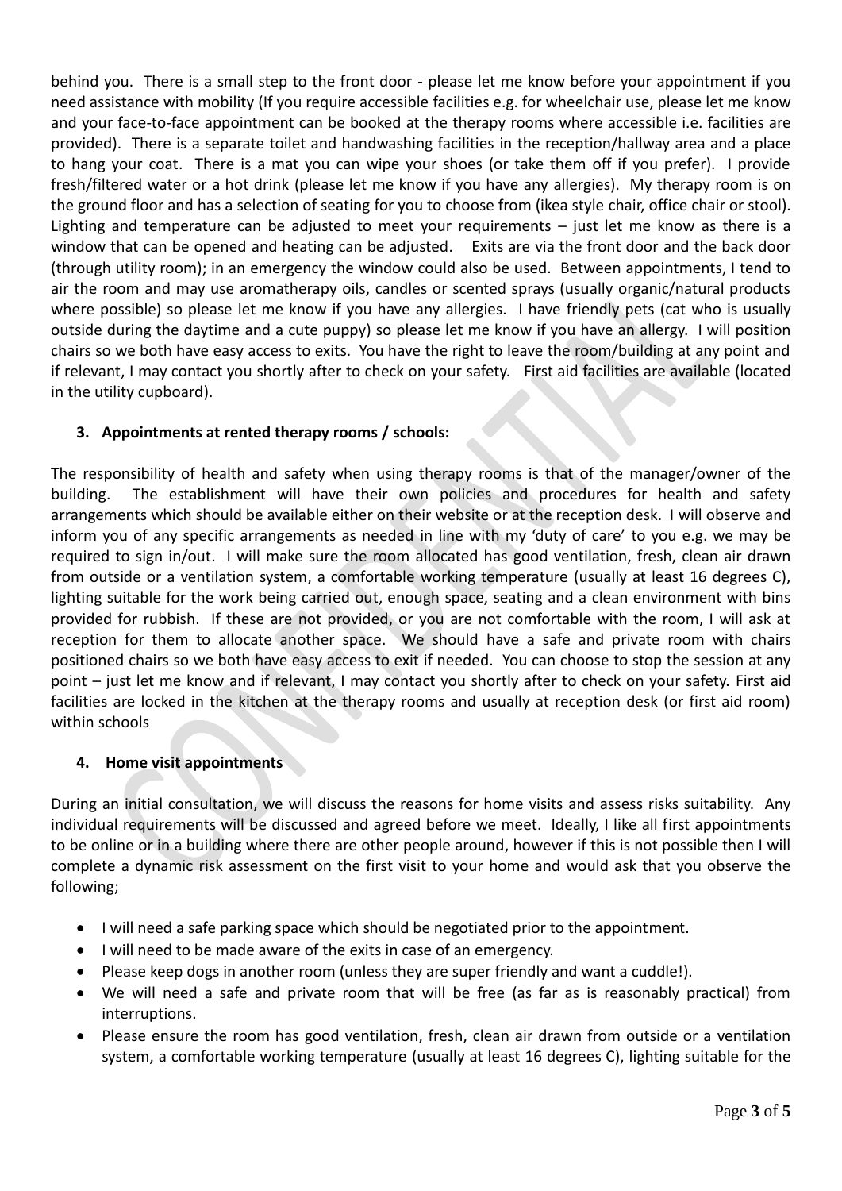behind you. There is a small step to the front door - please let me know before your appointment if you need assistance with mobility (If you require accessible facilities e.g. for wheelchair use, please let me know and your face-to-face appointment can be booked at the therapy rooms where accessible i.e. facilities are provided). There is a separate toilet and handwashing facilities in the reception/hallway area and a place to hang your coat. There is a mat you can wipe your shoes (or take them off if you prefer). I provide fresh/filtered water or a hot drink (please let me know if you have any allergies). My therapy room is on the ground floor and has a selection of seating for you to choose from (ikea style chair, office chair or stool). Lighting and temperature can be adjusted to meet your requirements – just let me know as there is a window that can be opened and heating can be adjusted. Exits are via the front door and the back door (through utility room); in an emergency the window could also be used. Between appointments, I tend to air the room and may use aromatherapy oils, candles or scented sprays (usually organic/natural products where possible) so please let me know if you have any allergies. I have friendly pets (cat who is usually outside during the daytime and a cute puppy) so please let me know if you have an allergy. I will position chairs so we both have easy access to exits. You have the right to leave the room/building at any point and if relevant, I may contact you shortly after to check on your safety. First aid facilities are available (located in the utility cupboard).

# **3. Appointments at rented therapy rooms / schools:**

The responsibility of health and safety when using therapy rooms is that of the manager/owner of the building. The establishment will have their own policies and procedures for health and safety arrangements which should be available either on their website or at the reception desk. I will observe and inform you of any specific arrangements as needed in line with my 'duty of care' to you e.g. we may be required to sign in/out. I will make sure the room allocated has good ventilation, fresh, clean air drawn from outside or a ventilation system, a comfortable working temperature (usually at least 16 degrees C), lighting suitable for the work being carried out, enough space, seating and a clean environment with bins provided for rubbish. If these are not provided, or you are not comfortable with the room, I will ask at reception for them to allocate another space. We should have a safe and private room with chairs positioned chairs so we both have easy access to exit if needed. You can choose to stop the session at any point – just let me know and if relevant, I may contact you shortly after to check on your safety. First aid facilities are locked in the kitchen at the therapy rooms and usually at reception desk (or first aid room) within schools

# **4. Home visit appointments**

During an initial consultation, we will discuss the reasons for home visits and assess risks suitability. Any individual requirements will be discussed and agreed before we meet. Ideally, I like all first appointments to be online or in a building where there are other people around, however if this is not possible then I will complete a dynamic risk assessment on the first visit to your home and would ask that you observe the following;

- I will need a safe parking space which should be negotiated prior to the appointment.
- I will need to be made aware of the exits in case of an emergency.
- Please keep dogs in another room (unless they are super friendly and want a cuddle!).
- We will need a safe and private room that will be free (as far as is reasonably practical) from interruptions.
- Please ensure the room has good ventilation, fresh, clean air drawn from outside or a ventilation system, a comfortable working temperature (usually at least 16 degrees C), lighting suitable for the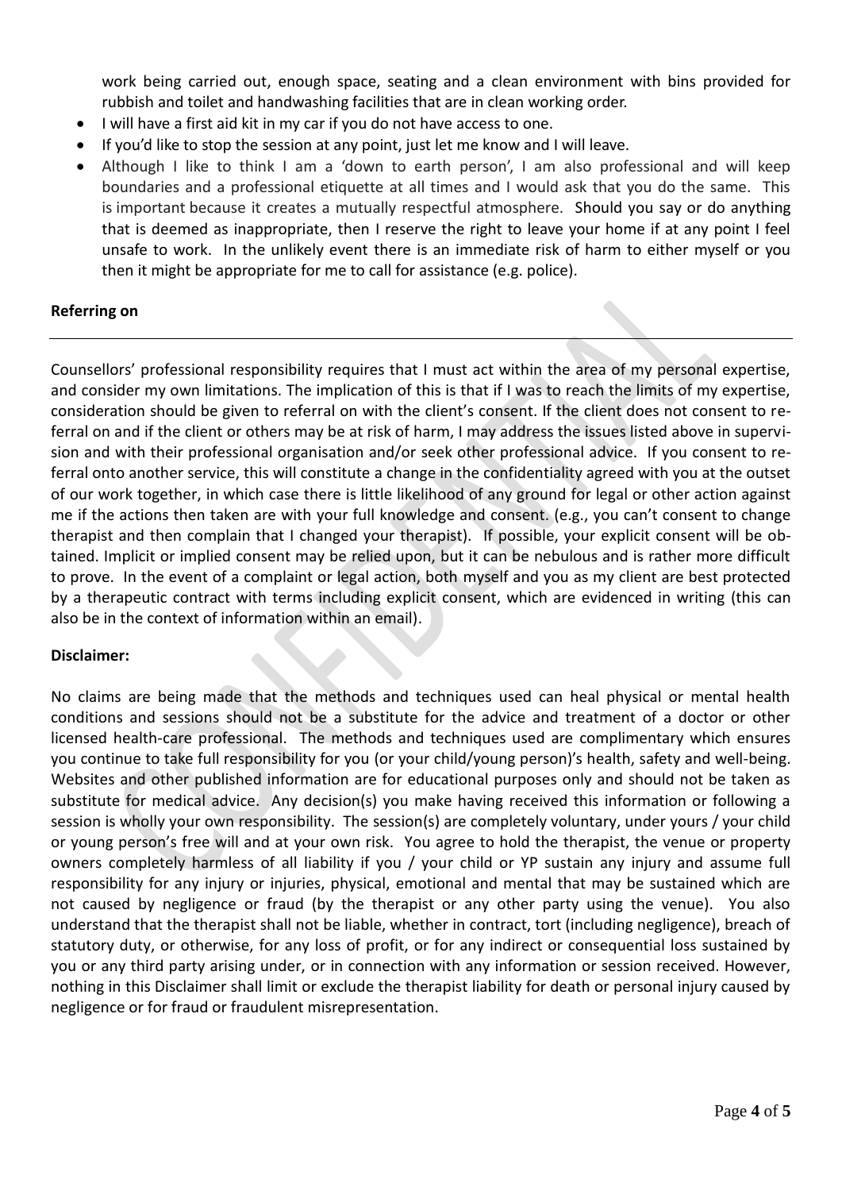work being carried out, enough space, seating and a clean environment with bins provided for rubbish and toilet and handwashing facilities that are in clean working order.

- I will have a first aid kit in my car if you do not have access to one.
- If you'd like to stop the session at any point, just let me know and I will leave.
- Although I like to think I am a 'down to earth person', I am also professional and will keep boundaries and a professional etiquette at all times and I would ask that you do the same. This is important because it creates a mutually respectful atmosphere. Should you say or do anything that is deemed as inappropriate, then I reserve the right to leave your home if at any point I feel unsafe to work. In the unlikely event there is an immediate risk of harm to either myself or you then it might be appropriate for me to call for assistance (e.g. police).

## **Referring on**

Counsellors' professional responsibility requires that I must act within the area of my personal expertise, and consider my own limitations. The implication of this is that if I was to reach the limits of my expertise, consideration should be given to referral on with the client's consent. If the client does not consent to referral on and if the client or others may be at risk of harm, I may address the issues listed above in supervision and with their professional organisation and/or seek other professional advice. If you consent to referral onto another service, this will constitute a change in the confidentiality agreed with you at the outset of our work together, in which case there is little likelihood of any ground for legal or other action against me if the actions then taken are with your full knowledge and consent. (e.g., you can't consent to change therapist and then complain that I changed your therapist). If possible, your explicit consent will be obtained. Implicit or implied consent may be relied upon, but it can be nebulous and is rather more difficult to prove. In the event of a complaint or legal action, both myself and you as my client are best protected by a therapeutic contract with terms including explicit consent, which are evidenced in writing (this can also be in the context of information within an email).

### **Disclaimer:**

No claims are being made that the methods and techniques used can heal physical or mental health conditions and sessions should not be a substitute for the advice and treatment of a doctor or other licensed health-care professional. The methods and techniques used are complimentary which ensures you continue to take full responsibility for you (or your child/young person)'s health, safety and well-being. Websites and other published information are for educational purposes only and should not be taken as substitute for medical advice. Any decision(s) you make having received this information or following a session is wholly your own responsibility. The session(s) are completely voluntary, under yours / your child or young person's free will and at your own risk. You agree to hold the therapist, the venue or property owners completely harmless of all liability if you / your child or YP sustain any injury and assume full responsibility for any injury or injuries, physical, emotional and mental that may be sustained which are not caused by negligence or fraud (by the therapist or any other party using the venue). You also understand that the therapist shall not be liable, whether in contract, tort (including negligence), breach of statutory duty, or otherwise, for any loss of profit, or for any indirect or consequential loss sustained by you or any third party arising under, or in connection with any information or session received. However, nothing in this Disclaimer shall limit or exclude the therapist liability for death or personal injury caused by negligence or for fraud or fraudulent misrepresentation.